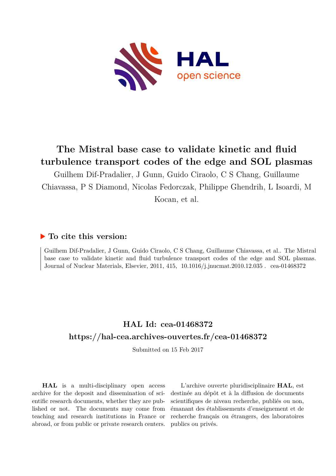

# **The Mistral base case to validate kinetic and fluid turbulence transport codes of the edge and SOL plasmas**

Guilhem Dif-Pradalier, J Gunn, Guido Ciraolo, C S Chang, Guillaume Chiavassa, P S Diamond, Nicolas Fedorczak, Philippe Ghendrih, L Isoardi, M Kocan, et al.

### **To cite this version:**

Guilhem Dif-Pradalier, J Gunn, Guido Ciraolo, C S Chang, Guillaume Chiavassa, et al.. The Mistral base case to validate kinetic and fluid turbulence transport codes of the edge and SOL plasmas. Journal of Nuclear Materials, Elsevier, 2011, 415, 10.1016/j.jnucmat.2010.12.035. cea-01468372

## **HAL Id: cea-01468372 <https://hal-cea.archives-ouvertes.fr/cea-01468372>**

Submitted on 15 Feb 2017

**HAL** is a multi-disciplinary open access archive for the deposit and dissemination of scientific research documents, whether they are published or not. The documents may come from teaching and research institutions in France or abroad, or from public or private research centers.

L'archive ouverte pluridisciplinaire **HAL**, est destinée au dépôt et à la diffusion de documents scientifiques de niveau recherche, publiés ou non, émanant des établissements d'enseignement et de recherche français ou étrangers, des laboratoires publics ou privés.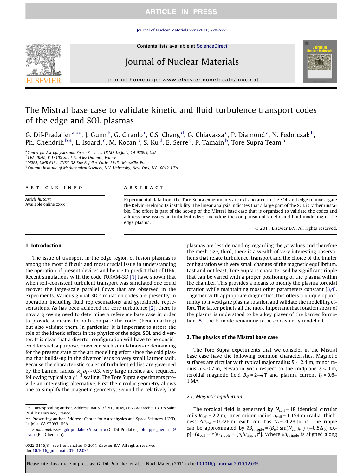### **ARTICLE IN PRESS**

#### [Journal of Nuclear Materials xxx \(2011\) xxx–xxx](http://dx.doi.org/10.1016/j.jnucmat.2010.12.035)



Contents lists available at [ScienceDirect](http://www.sciencedirect.com/science/journal/00223115)

### Journal of Nuclear Materials



journal homepage: [www.elsevier.com/locate/jnucmat](http://www.elsevier.com/locate/jnucmat)

## The Mistral base case to validate kinetic and fluid turbulence transport codes of the edge and SOL plasmas

G. Dif-Pradalier <sup>a,</sup>\*\*, J. Gunn <sup>b</sup>, G. Ciraolo <sup>c</sup>, C.S. Chang <sup>d</sup>, G. Chiavassa <sup>c</sup>, P. Diamond <sup>a</sup>, N. Fedorczak <sup>b</sup>, Ph. Ghendrih <sup>b,</sup>\*, L. Isoardi <sup>c</sup>, M. Kocan <sup>b</sup>, S. Ku <sup>d</sup>, E. Serre <sup>c</sup>, P. Tamain <sup>b</sup>, Tore Supra Team <sup>b</sup>

<sup>a</sup> Center for Astrophysics and Space Sciences, UCSD, La Jolla, CA 92093, USA

<sup>b</sup> CEA, IRFM, F-13108 Saint Paul lez Durance, France

<sup>c</sup> M2P2, UMR 6181-CNRS, 38 Rue F. Joliot-Curie, 13451 Marseille, France

<sup>d</sup> Courant Institute of Mathematical Sciences, N.Y. University, New York, NY 10012, USA

#### article info

Article history: Available online xxxx

#### **ABSTRACT**

Experimental data from the Tore Supra experiments are extrapolated in the SOL and edge to investigate the Kelvin–Helmholtz instability. The linear analysis indicates that a large part of the SOL is rather unstable. The effort is part of the set-up of the Mistral base case that is organised to validate the codes and address new issues on turbulent edges, including the comparison of kinetic and fluid modelling in the edge plasma.

- 2011 Elsevier B.V. All rights reserved.

#### 1. Introduction

The issue of transport in the edge region of fusion plasmas is among the most difficult and most crucial issue in understanding the operation of present devices and hence to predict that of ITER. Recent simulations with the code TOKAM-3D [1] have shown that when self-consistent turbulent transport was simulated one could recover the large-scale parallel flows that are observed in the experiments. Various global 3D simulation codes are presently in operation including fluid representations and gyrokinetic representations. As has been achieved for core turbulence [2], there is now a growing need to determine a reference base case in order to provide a means to both compare the codes (benchmarking) but also validate them. In particular, it is important to assess the role of the kinetic effects in the physics of the edge, SOL and divertor. It is clear that a divertor configuration will have to be considered for such a purpose. However, such simulations are demanding for the present state of the art modelling effort since the cold plasma that builds-up in the divertor leads to very small Larmor radii. Because the characteristic scales of turbulent eddies are governed by the Larmor radius,  $k_\perp \rho_I$   $\sim$  0.3, very large meshes are required, following typically a  $\rho^{*-3}$  scaling. The Tore Supra experiments provide an interesting alternative. First the circular geometry allows one to simplify the magnetic geometry, second the relatively hot

0022-3115/\$ - see front matter © 2011 Elsevier B.V. All rights reserved. doi[:10.1016/j.jnucmat.2010.12.035](http://dx.doi.org/10.1016/j.jnucmat.2010.12.035)

plasmas are less demanding regarding the  $\rho^*$  values and therefore the mesh size, third, there is a wealth of very interesting observations that relate turbulence, transport and the choice of the limiter configuration with very small changes of the magnetic equilibrium. Last and not least, Tore Supra is characterised by significant ripple that can be varied with a proper positioning of the plasma within the chamber. This provides a means to modify the plasma toroidal rotation while maintaining most other parameters constant [3,4]. Together with appropriate diagnostics, this offers a unique opportunity to investigate plasma rotation and validate the modelling effort. The latter point is all the more important that rotation shear of the plasma is understood to be a key player of the barrier formation [5], the H-mode remaining to be consistently modelled.

#### 2. The physics of the Mistral base case

The Tore Supra experiments that we consider in the Mistral base case have the following common characteristics. Magnetic surfaces are circular with typical major radius R  $\sim$  2.4 m, minor radius  $a \sim 0.7$  m, elevation with respect to the midplane  $z \sim 0$  m, toroidal magnetic field  $B_{\varphi}$  = 2–4 T and plasma current  $I_p$  = 0.6– 1 MA.

#### 2.1. Magnetic equilibrium

The toroidal field is generated by  $N_{\text{coil}}$  = 18 identical circular coils  $R_{\text{coil}}$  = 2.2 m, inner minor radius  $a_{\text{coil}}$  = 1.154 m (radial thickness  $\Delta a_{\text{coil}}$  = 0.226 m, each coil has  $N_t$  = 2028 turns, The ripple can be approximated by  $\delta B_{r,\text{ripple}} = \langle B_{\varphi} \rangle \sin(N_{\text{coil}}\varphi_r)$  (-0.5 $\Delta_0$ ) ex $p[-(a_{\text{coil}} - r_r)/\lambda_{\text{ripple}} - (\theta_r/\theta_{\text{ripple}})^2]$ . Where  $\delta B_{r,\text{ripple}}$  is aligned along

<sup>⇑</sup> Corresponding author. Address: Bât 513/151, IRFM, CEA Cadarache, 13108 Saint Paul lez Durance, France.

<sup>⇑⇑</sup> Presenting author. Address: Center for Astrophysics and Space Sciences, UCSD, La Jolla, CA 92093, USA.

E-mail addresses: [gdifpradalier@ucsd.edu](mailto:gdifpradalier@ucsd.edu) (G. Dif-Pradalier), [philippe.ghendrih@](mailto:philippe.ghendrih@cea.fr) [cea.fr](mailto:philippe.ghendrih@cea.fr) (Ph. Ghendrih).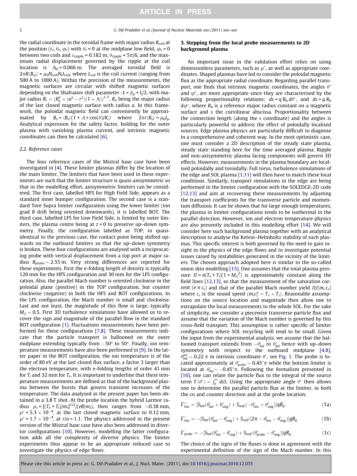the radial coordinate in the toroidal frame with major radius  $R_{\text{coil}}$  at the position  $(r_r, \theta_r, \varphi_r)$  with  $\theta_r = 0$  at the midplane low field,  $\varphi_r = 0$ between two coils and  $\lambda_{\text{ripole}}$  = 0.182 m,  $\theta_{\text{ripole}}$  = 5 $\pi/6$ , and the maximum radial displacement governed by the ripple at the coil location is  $\Delta_0$  = 0.066 m. The averaged toroidal field is  $2\pi R\langle B_{\varphi}\rangle = \mu_0 N_{\text{coil}} N_t I_{\text{coil}}$ , where  $I_{\text{coil}}$  is the coil current (ranging from 500 A to 1000 A). Within the precision of the measurements, the magnetic surfaces are circular with shifted magnetic surfaces depending on the Shafranov shift parameter  $A = \beta_p + l_i/2$ , with major radius  $R_r = (R_a^2 + (a^2 - r^2)(1 + \Lambda))^{1/2}$ ,  $R_a$  being the major radius of the last closed magnetic surface with radius a. In this framework, the poloidal magnetic field can conveniently be approximated by  $B_\theta = \langle B_\theta \rangle \left(1 + A r \cos(\theta)/R_r\right)$  where  $2\pi r \langle B_\theta \rangle = \mu_0 I_p$ . Analytical expression for the safety factor, holding for the outer plasma with vanishing plasma current, and intrinsic magnetic coordinates can then be calculated [6].

#### 2.2. Reference cases

The four reference cases of the Mistral base case have been investigated in [4]. These limiter plasmas differ by the location of the main limiter. The limiters that have been used in these experiments are such that the limiter structure is quasi-axisymmetric so that in the modelling effort, axisymmetric limiters can be considered. The first case, labelled HFS for High Field Side, appears as a standard inner bumper configuration. The second case is a standard Tore Supra limiter configuration using the lower limiter (ion grad B drift being oriented downwards), it is labelled BOT. The third case, labelled LFS for Low Field Side, is limited by outer limiters, the plasma centre being at  $z = 0$  to preserve up–down symmetry. Finally, the configuration labelled as TOP, in quasiidentical to the previous case, the contact point being shifted upwards on the outboard limiters so that the up–down symmetry is broken. These four configurations are analysed with a reciprocating probe with vertical displacement from a top port at major radius  $R_{probe}\sim$  2.55 m. Very strong differences are reported for these experiments. First the e-folding length of density is typically 120 mm for the HFS configuration and 30 mm for the LFS configuration. Also, the parallel Mach number is oriented clockwise in the poloidal plane (positive) in the TOP configuration, but counter clockwise (negative) in both the HFS and BOT configurations. In the LFS configuration, the Mach number is small and clockwise. Last and not least, the magnitude of this flow is large, typically  $M_{\rm \scriptsize{//}}$   $\sim$  0.5. First 3D turbulence simulations have allowed us to recover the sign and magnitude of the parallel flow in the standard BOT configuration [1]. Fluctuations measurements have been performed for these configurations [7,8]. These measurements indicate that the particle transport is ballooned on the outer midplane extending typically from  $-50^{\circ}$  to 50 $^{\circ}$ . Finally, ion temperature measurements have also been performed in [9]. In the latter paper in the BOT configuration, the ion temperature is of the order of 80 eV at the last closed flux surface, a factor 3 larger than the electron temperature, with e-folding lengths of order 41 mm for  $T_i$  and 32 mm for  $T_e$ . It is important to underline that these temperature measurements are defined as that of the background plasma between the bursts that govern transient increases of the temperature. The data analysed in the present paper has been obtained in a 3.8 T shot. At the probe location the hybrid Larmor radius  $\rho_s = [(T_e + T_i)/m_i]^{1/2}/(eB/m_i)$ , then ranges from  $\sim$ 0.38 mm,  $\rho^*$  = 5.3  $\times$  10<sup>-4</sup>, at the last closed magnetic surface to 0.12 mm,  $\rho^*$  = 1.7  $\times$  10<sup>-4</sup>, at r/a = 1.1. The physics addressed in the present version of the Mistral base case have also been addressed in divertor configurations [10]. However, modelling the latter configuration adds all the complexity of divertor physics. The limiter experiments thus appear to be an appropriate reduced case to investigate the physics of edge flows.

#### 3. Stepping from the local probe measurements to 2D background plasma

An important issue in the validation effort relies on using dimensionless parameters, such as  $\rho^*$ , as well as appropriate coordinates. Shaped plasmas have led to consider the poloidal magnetic flux as the appropriate radial coordinate. Regarding parallel transport, one finds that intrinsic magnetic coordinates, the angles  $\theta^*$ and  $\varphi^*$ , are more appropriate since they are characterised by the following proportionality relations;  $ds = q R_0 d\theta^*$ , and  $ds = q R_0$  $d\varphi^*$ , where  $R_0$  is a reference major radius constant on a magnetic surface and s the curvilinear abscissa. Proportionality between the connection length (along the s coordinate) and the angles is particularly powerful to address the effect of poloidally localised sources. Edge plasma physics are particularly difficult to diagnose in a comprehensive and coherent way. In the most optimistic case, one must consider a 2D description of the steady state plasma, steady state standing here for the time averaged plasma. Ripple and non-axisymmetric plasma facing components will govern 3D effects. However, measurements in the plasma boundary are localised poloidally and toroidally. Full torus, turbulence simulations of the edge and SOL plasma [1,11] will then have to match these local conditions. Similarly, transport simulations in the edge are being performed in the limiter configuration with the SOLEDGE-2D code [12,13] and aim at recovering these measurements by adjusting the transport coefficients for the transverse particle and momentum diffusion. It can be shown that for large enough temperatures, the plasma in limiter configurations tends to be isothermal in the parallel direction. However, ion and electron temperature physics are also presently included in this modelling effort [14]. We will consider here such background plasma together with an analytical description to analyse the Kelvin–Helmholtz stability of such plasmas. This specific interest is both governed by the need to gain insight in the physics of the edge flows and to investigate potential issues raised by instabilities generated in the vicinity of the limiters. The chosen approach adopted here is similar to the so-called onion skin modelling [15]. One assumes that the total plasma pressure  $\Pi = n(T_e + T_i)(1 + M_i)^2$  is approximately constant along the field lines [12,13], so that the measurement of the saturation current (e  $n c_s$ ) and that of the parallel Mach number yield  $\Pi/(m_i c_s)$ where  $c_s$  is the sound speed  $(m_i c_s^2 = T_e + T_i)$ . Reasonable assumptions on the source location and magnitude then allow one to extrapolate the local measurements to the whole SOL. For the sake of simplicity, we consider a piecewise transverse particle flux and assume that the variation of the Mach number is governed by this cross-field transport. This assumption is rather specific of limiter configurations where SOL recycling will tend to be small. Given the input from the experimental analysis, we assume that the ballooned transport extends from  $-\theta_{bal}^*$  to  $\theta_{bal}^*$  hence with up–down symmetry with respect to the outboard midplane [4,8],  $\theta_{bal}^{ast} \sim 0.22 \pi$  in intrinsic coordinate  $\theta^*$ , see Fig. 1. The probe is located approximately at  $\theta^*_{probe} \sim 0.45^* \pi$  while the bottom limiter is located at  $\theta_{lim}^* \sim -0.45^* \pi$ . Following the formalism presented in [16], one can relate the particle flux to the integral of the source term  $\Gamma(\theta^*) = \int_0^{\theta^*} ds$ . Using the appropriate angle  $\theta^*$  then allows one to determine the parallel particle flux at the limiter, in both the co and counter direction and at the probe location:

$$
\Gamma_{\text{lim}}^+ = [S_{\text{bal}}(\theta_{\text{bal}}^* + \theta_{\text{stag}}^*) + S_{\text{unif}}(-\theta_{\text{lim}}^* + \theta_{\text{stag}}^*)]qR_0 \tag{1a}
$$

$$
\Gamma_{\text{lim}}^- = -[S_{\text{bal}}(\theta_{\text{bal}}^* - \theta_{\text{stag}}^*) + S_{\text{unif}}(2\pi - \theta_{\text{lim}}^* - \theta_{\text{stag}}^*)]qR_0 \tag{1b}
$$

$$
\Gamma_{probe} = -[S_{bal}(\theta_{bal}^{*} - \theta_{stag}^{*}) + S_{unif}(\theta_{probe}^{*} - \theta_{stag}^{*})]qR_{0}
$$
\n(1c)

The choice of the signs of the fluxes is done in agreement with the experimental definition of the sign of the Mach number. In this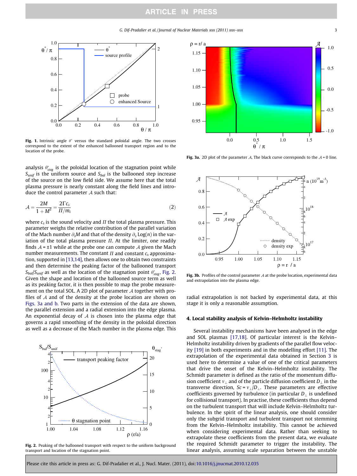

Fig. 1. Intrinsic angle  $\theta^*$  versus the standard poloidal angle. The two crosses correspond to the extent of the enhanced ballooned transport region and to the location of the probe.

analysis  $\theta^*_{stag}$  is the poloidal location of the stagnation point while  $S<sub>unif</sub>$  is the uniform source and  $S<sub>bal</sub>$  is the ballooned step increase of the source on the low field side. We assume here that the total plasma pressure is nearly constant along the field lines and introduce the control parameter  $\mathcal A$  such that:

$$
\mathcal{A} = \frac{2M}{1 + M^2} = \frac{2\Gamma c_s}{\Pi/m_i} \tag{2}
$$

where  $c_s$  is the sound velocity and  $\Pi$  the total plasma pressure. This parameter weighs the relative contribution of the parallel variation of the Mach number  $\partial_{s}M$  and that of the density  $\partial_{s}Log(n)$  in the variation of the total plasma pressure  $\Pi$ . At the limiter, one readily finds  $A = \pm 1$  while at the probe one can compute A given the Mach number measurements. The constant  $\Pi$  and constant  $c_s$  approximation, supported in [13,14], then allows one to obtain two constraints and then determine the peaking factor of the ballooned transport  $S_{bal}/S_{unif}$  as well as the location of the stagnation point  $\theta^*_{stag}$ , Fig. 2. Given the shape and location of the ballooned source term as well as its peaking factor, it is then possible to map the probe measurement on the total SOL. A 2D plot of parameter  $\mathcal A$  together with profiles of  $A$  and of the density at the probe location are shown on Figs. 3a and b. Two parts in the extension of the data are shown, the parallel extension and a radial extension into the edge plasma. An exponential decay of  $A$  is chosen into the plasma edge that governs a rapid smoothing of the density in the poloidal direction as well as a decrease of the Mach number in the plasma edge. This



Fig. 2. Peaking of the ballooned transport with respect to the uniform background transport and location of the stagnation point.



Fig. 3a. 2D plot of the parameter A. The black curve corresponds to the  $A = 0$  line.



Fig. 3b. Profiles of the control parameter  $A$  at the probe location, experimental data and extrapolation into the plasma edge.

radial extrapolation is not backed by experimental data, at this stage it is only a reasonable assumption.

#### 4. Local stability analysis of Kelvin–Helmholtz instability

Several instability mechanisms have been analysed in the edge and SOL plasmas [17,18]. Of particular interest is the Kelvin– Helmholtz instability driven by gradients of the parallel flow velocity [19] in both experiments and in the modelling effort [11]. The extrapolation of the experimental data obtained in Section 3 is used here to determine a value of one of the critical parameters that drive the onset of the Kelvin–Helmholtz instability. The Schmidt parameter is defined as the ratio of the momentum diffusion coefficient  $v_\perp$  and of the particle diffusion coefficient  $D_\perp$  in the transverse direction,  $Sc = v_\perp/D_\perp$ . These parameters are effective coefficients governed by turbulence (in particular  $D_{\perp}$  is undefined for collisional transport). In practise, these coefficients thus depend on the turbulent transport that will include Kelvin–Helmholtz turbulence. In the spirit of the linear analysis, one should consider only the subgrid transport and turbulent transport not stemming from the Kelvin–Helmholtz instability. This cannot be achieved when considering experimental data. Rather than seeking to extrapolate these coefficients from the present data, we evaluate the required Schmidt parameter to trigger the instability. The linear analysis, assuming scale separation between the unstable

Please cite this article in press as: G. Dif-Pradalier et al., J. Nucl. Mater. (2011), doi[:10.1016/j.jnucmat.2010.12.035](http://dx.doi.org/10.1016/j.jnucmat.2010.12.035)